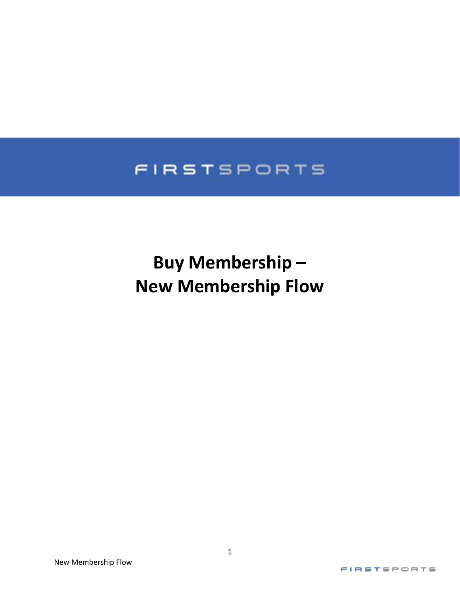## FIRSTSPORTS

# **Buy Membership – New Membership Flow**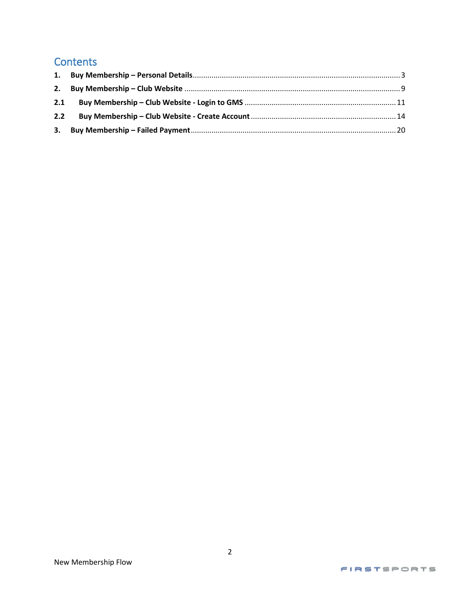## **Contents**

| 2.1 |  |
|-----|--|
| 2.2 |  |
|     |  |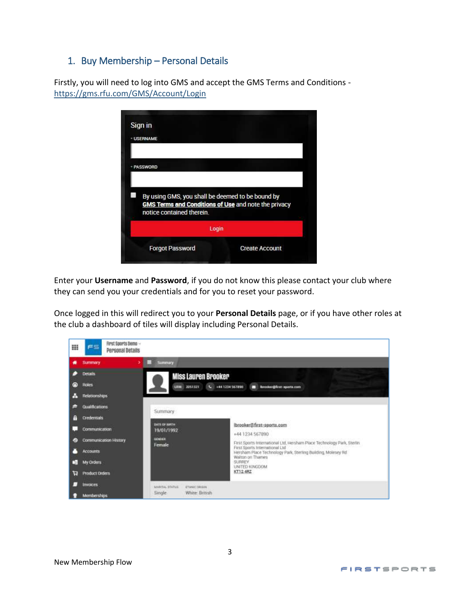#### <span id="page-2-0"></span>1. Buy Membership – Personal Details

Firstly, you will need to log into GMS and accept the GMS Terms and Conditions <https://gms.rfu.com/GMS/Account/Login>

| <b>· USERNAME</b>                                                                        |  |
|------------------------------------------------------------------------------------------|--|
| <b>PASSWORD</b>                                                                          |  |
| By using GMS, you shall be deemed to be bound by                                         |  |
| <b>GMS Terms and Conditions of Use and note the privacy</b><br>notice contained therein. |  |
| Login                                                                                    |  |

Enter your **Username** and **Password**, if you do not know this please contact your club where they can send you your credentials and for you to reset your password.

Once logged in this will redirect you to your **Personal Details** page, or if you have other roles at the club a dashboard of tiles will display including Personal Details.

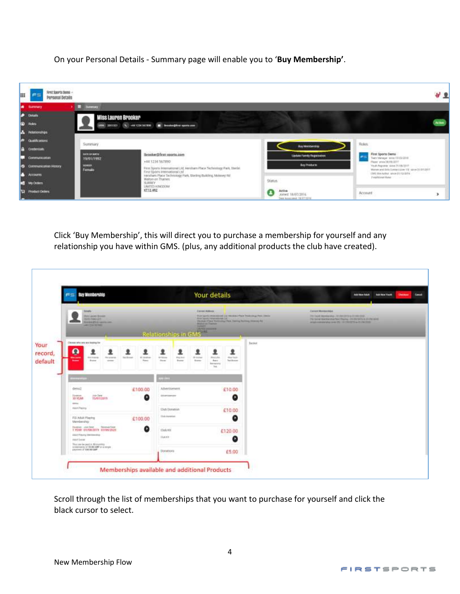On your Personal Details - Summary page will enable you to '**Buy Membership'**.



Click 'Buy Membership', this will direct you to purchase a membership for yourself and any relationship you have within GMS. (plus, any additional products the club have created).

|                    | <b>Bay Membership</b><br>FS.                                                                                                                                       | Your details                                                                                                                                                                                                                                                                                          |              | <b>Cancel</b><br>And law York<br>(Tennes)<br><b>ARTHUR ART</b>                                                                                                                         |
|--------------------|--------------------------------------------------------------------------------------------------------------------------------------------------------------------|-------------------------------------------------------------------------------------------------------------------------------------------------------------------------------------------------------------------------------------------------------------------------------------------------------|--------------|----------------------------------------------------------------------------------------------------------------------------------------------------------------------------------------|
|                    | <b>Schultz</b><br><b>Gillard Orean</b><br>4001/0987.271<br><b>ROSENEZON CONTRACTOR</b><br>ANTEN SERIE                                                              | <b>Except Address</b><br>Fluid Supply receivable and Louis Mexico Player Triulianings Plain (Interior<br>Alexa Sport Crewy can mak Col.<br>Historic Paul Torinology Park Teening Building (Making Rd)<br><b>Material Trenter</b><br><b>SAMPLE</b><br><b>JAN FREE ANDERSON</b><br>Relationships in GMS |              | Cannot Monterchief<br>PEE Fech Wanterman - RT-RACED to 211947222-<br>Package stemments have there; in the Minis in the state<br>Angel mensen and cold (45) 1912 972 221 to 21 2 WOTERS |
| record,<br>default | Clearest who sees with blanking the<br>Ō<br><b>Tot Brings</b><br><b>Bally Land A</b><br>19.1 0 km/m<br>the grants.<br>17. Sinifran<br>Sister.<br>Rees<br>-<br>1000 | 오<br>오<br>1<br>모<br>모<br>dow high-<br><b>Air Attune</b><br>Haj moi<br>10 to chair<br><b>Bakkata</b><br><b>Home</b><br>Busine:<br><b>Base</b><br>dues.<br>Technical:<br>kersens<br>744                                                                                                                 | <b>Brown</b> |                                                                                                                                                                                        |
|                    |                                                                                                                                                                    | 12.001                                                                                                                                                                                                                                                                                                |              |                                                                                                                                                                                        |
|                    | demail<br>£100.00<br>Darkers.<br>me-bee<br>o<br><b>JOYTAR</b><br><b>Hydrigies</b>                                                                                  | £10.00<br>Advertisement.<br>$\bullet$<br>Abertiserung                                                                                                                                                                                                                                                 |              |                                                                                                                                                                                        |
|                    | sense.<br>AAM Plains                                                                                                                                               | <b>Club Donation</b><br>€10.00                                                                                                                                                                                                                                                                        |              |                                                                                                                                                                                        |
|                    | FSI Adult Flaying<br>£100.00<br>Merdership                                                                                                                         | This Assembal<br>O                                                                                                                                                                                                                                                                                    |              |                                                                                                                                                                                        |
|                    | Diverses unit beat<br>Record Cyst<br>LYER DIVORING SUBSIDIE<br>Joba'l Frauric Meridianizing-<br>AAH THIM<br>This join be partly in 10 months                       | 13:00:03<br>€120.00<br><b>TAXABLE</b><br>Q                                                                                                                                                                                                                                                            |              |                                                                                                                                                                                        |
|                    | enternance of \$5.00 kWP or a ringle<br>MARINEZ LF SUCCIDE CORP.                                                                                                   | Donations:<br>£5.00                                                                                                                                                                                                                                                                                   |              |                                                                                                                                                                                        |

Scroll through the list of memberships that you want to purchase for yourself and click the black cursor to select.

4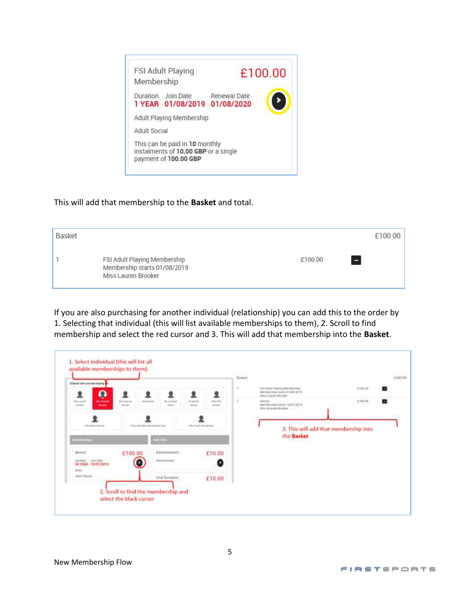

#### This will add that membership to the **Basket** and total.

| Basket |                                                                                     |         | £100.00        |
|--------|-------------------------------------------------------------------------------------|---------|----------------|
|        | FSI Adult Playing Membership<br>Membership starts 01/08/2019<br>Miss Lauren Brooker | £100.00 | CV2-10-10<br>÷ |

If you are also purchasing for another individual (relationship) you can add this to the order by 1. Selecting that individual (this will list available memberships to them), 2. Scroll to find membership and select the red cursor and 3. This will add that membership into the **Basket**.

| Choose who you are laying                                                                         |                                                        |                                                        |                             |                           | Bastert<br>man<br>W. | FSI Adult Playing Membership<br>Membership courts (11/19/2019)                            | 4700.00         | #200.00<br>计选择字符<br>各 |
|---------------------------------------------------------------------------------------------------|--------------------------------------------------------|--------------------------------------------------------|-----------------------------|---------------------------|----------------------|-------------------------------------------------------------------------------------------|-----------------|-----------------------|
| $\boldsymbol{\Omega}$<br><b>Mini Motiveness</b><br>1974-14-444<br><b>Broman</b><br><b>Service</b> | ۰<br><b>Mix arramch</b><br><b>.</b><br><b>American</b> | <b>Field Biroutius</b><br>M/Javalhers<br><b>Firsts</b> | <b>IR STI+4</b><br>Monte    | ۰<br>mias leen<br>finance | x                    | Wins Lauren Brooker<br>Sorrest<br>Atendership starts' Hutilizable<br>Alex Arearda Brooker | 4,700.00<br>531 | ۰                     |
| <b>LE Antoine Artement</b><br><b>Winderstreet</b>                                                 |                                                        | 1981s Little Beach Mercine Hita Text<br>uit bri        | <b>ISSAN TRANSCRIPTIONS</b> |                           |                      | 3. This will add that membership into<br>the Basket                                       |                 |                       |
| demalZ<br>Join Date:<br><b>Elizabeth Control</b><br>30 YEAR 15/07/2019                            | £100.00<br>O                                           | Advertisement.<br>Abstraces                            |                             | £10.00<br>Ø               |                      |                                                                                           |                 |                       |
| direcci<br>Abrt Flaying                                                                           |                                                        | Club Donation                                          |                             | £10.00                    |                      |                                                                                           |                 |                       |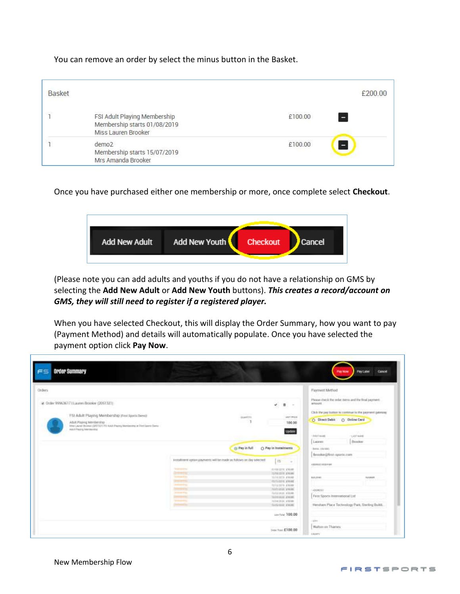You can remove an order by select the minus button in the Basket.

| <b>Basket</b> |                                                                                     | £200.00      |
|---------------|-------------------------------------------------------------------------------------|--------------|
|               | FSI Adult Playing Membership<br>Membership starts 01/08/2019<br>Miss Lauren Brooker | £100.00<br>н |
|               | demo <sub>2</sub><br>Membership starts 15/07/2019<br>Mrs Amanda Brooker             | £100.00<br>Ξ |

Once you have purchased either one membership or more, once complete select **Checkout**.



(Please note you can add adults and youths if you do not have a relationship on GMS by selecting the **Add New Adult** or **Add New Youth** buttons). *This creates a record/account on GMS, they will still need to register if a registered player.*

When you have selected Checkout, this will display the Order Summary, how you want to pay (Payment Method) and details will automatically populate. Once you have selected the payment option click **Pay Now**.

| Drdwn                                                                                                                                                                                                                              |                                                                                                                                                                                                                                                                                                                            | Faynent Method                                                                                                                                                                                                                     |
|------------------------------------------------------------------------------------------------------------------------------------------------------------------------------------------------------------------------------------|----------------------------------------------------------------------------------------------------------------------------------------------------------------------------------------------------------------------------------------------------------------------------------------------------------------------------|------------------------------------------------------------------------------------------------------------------------------------------------------------------------------------------------------------------------------------|
| @ Onler 0996361711.aunwi Brooker (2051323)<br>FSI Adult Playing Mambership (Fest taxets barre)<br>ABIR Playing Membership -<br>Hiter Laurent Byzand (2007) 272 AUAS Plasmig Members that at First Same<br>Adolf Peorg Interduction | w.<br>п<br>$\sim$<br><b>STERLESS</b><br><b>BARTER</b><br>sections:<br>100.00<br><b>Lipities</b>                                                                                                                                                                                                                            | Please classic the seday nervo and the final payment<br>artesist.<br>and the second of the second and second<br>Click the just batter to continue in the payment gallering<br>O Daline Card<br>O Direct Debit<br>USE 6<br>PAVIDAME |
|                                                                                                                                                                                                                                    | C) Pay in Instalments<br>(i) Pay in full<br>installment option priverents will be mode as follows as day intented.<br>圧<br>$-1$                                                                                                                                                                                            | 1207 keep<br>Latent<br><b>Brocker</b><br>Bend, riterees<br><b>Brooker@first-sports.com</b><br>422011102140<br><b>CONTRACTOR</b>                                                                                                    |
|                                                                                                                                                                                                                                    | <b>Telephone Print</b><br>Vision Lists: 416000<br>107041229 81036<br><b>Commercial</b><br><b>NOTATION ATMOSF</b><br>PROTECTIVE ATOMIC<br><b>CONTRACTOR</b><br><b>Commercial</b><br><b>BOLDES FROM</b><br>TEMVIDOR: \$1600E<br><b>Contractor</b><br>SASE IN A<br>TUOTES (21004)<br><b>Separate</b><br>TOYOTA (2010) 4/10/08 | 10,5,000<br><b>BUILDING</b><br>79. Person<br>1210031-0<br>First Sports International Ltd.                                                                                                                                          |
|                                                                                                                                                                                                                                    | Solvened \$1000.<br>care fund, 100.00                                                                                                                                                                                                                                                                                      | Hersham Place Technology Park, Sterling Buildi.                                                                                                                                                                                    |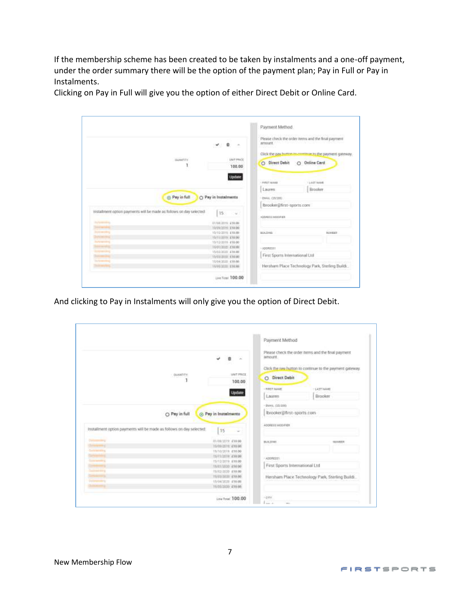If the membership scheme has been created to be taken by instalments and a one-off payment, under the order summary there will be the option of the payment plan; Pay in Full or Pay in Instalments.

Clicking on Pay in Full will give you the option of either Direct Debit or Online Card.

|                                                                      |                                            | Payment Method                  |                                                                                  |
|----------------------------------------------------------------------|--------------------------------------------|---------------------------------|----------------------------------------------------------------------------------|
|                                                                      | ٠<br>$\sim$<br>$\mathcal{L}_{\mathcal{A}}$ | zemszunt.<br>92, 1972           | Please check the order items and the final payment.<br>신호 버릇은 상당하다 아이가 많이 들어갔어요? |
|                                                                      |                                            |                                 | Click the pay hutton to continue to the payment queekey.                         |
| <b>EMANTIFY</b>                                                      | Lish PRICE<br>100.00                       | O Direct Debit                  | O Online Card                                                                    |
|                                                                      | Update                                     | LEBST SAME                      | <b>LEST MAKE</b>                                                                 |
|                                                                      |                                            | Linuten                         | Ecooker                                                                          |
| <b>B</b> Pay in full                                                 | O Pay in Instalments                       | · ISSUE, (20/200)               |                                                                                  |
|                                                                      |                                            | ltmooker@first-sports.com       |                                                                                  |
| mistallment option payments will be made as follows on day selected. | 15                                         | A DOMESTIC NACH ALB WILL        |                                                                                  |
| <b>Suffrage Ave.</b>                                                 | DUGA/2019: 438.00                          |                                 |                                                                                  |
| <b>PERMIT</b><br>Dunmarks                                            | HANNONE, E1809                             |                                 |                                                                                  |
| <b>Systemstra</b>                                                    | 15/10/2019 E18.00<br>15/11/2019 £18.00     | B.O. Freda                      | HUMBER                                                                           |
| <b>Automobile</b>                                                    | 15/13/2010 £18.00                          |                                 |                                                                                  |
|                                                                      | 15/01/2020 E18.00                          | $+300$ RESIE                    |                                                                                  |
| <b>Ustainman</b>                                                     | itistizioni giassi                         |                                 |                                                                                  |
|                                                                      | 19/03/2010 K10.00                          | First Sports International Ltd. |                                                                                  |
| <b>Surfame of the Co</b>                                             | 15/04/2010 618.00                          |                                 |                                                                                  |
| <b><i><u>Summerview</u></i></b>                                      | 15/05/2020 EYEAR                           |                                 | Hersham Place Technology Park, Sterling Builds.                                  |
|                                                                      |                                            |                                 |                                                                                  |

And clicking to Pay in Instalments will only give you the option of Direct Debit.

| <i><b>ODMITTY</b></i>                                                                                                                         | <b><i>MAT PRICE</i></b><br>100.00<br>Update                                                                                                                                                                          | I TURET NAME<br>Lauren<br>- Davis, 05/200 | O. Direct Debit                 | Click the new button to continue to the payment gateway.<br>-LAST NAME<br>Brooker |
|-----------------------------------------------------------------------------------------------------------------------------------------------|----------------------------------------------------------------------------------------------------------------------------------------------------------------------------------------------------------------------|-------------------------------------------|---------------------------------|-----------------------------------------------------------------------------------|
| O Pay in full<br>Installment option payments will be made as follows on day selected:                                                         | S Pay in Instalments<br>15                                                                                                                                                                                           | AODRESS MODIFIED                          | Ibrooker@first-sports.com       |                                                                                   |
| <b>Concert Concert</b><br>75<br>Conference Entertain<br><b><i><u>Contractory</u></i></b><br><b>Sold and String</b><br><b>Elektromatik III</b> | 21/08/2019 #14:00<br>10/09/2010; (410.00)<br>T&10/2019 #10.00<br>IS/IT/JITTO: 434-007<br>T5/32/3019 (FHL00)<br>15/01/2020: 416:00<br>15/02/2020 #10.00<br>TERUTION \$10.00<br>15/04/2020 #10:00<br>15/25/2020 419.00 | <b>BULLIVAN</b><br>· ADDRESS              | First Sports International Ltd. | <b>SEIMBER</b><br>Hersham Place Technology Park, Sterling Buildi.                 |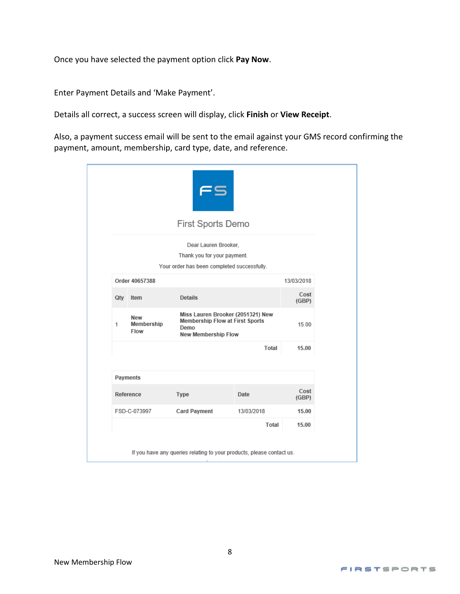Once you have selected the payment option click **Pay Now**.

Enter Payment Details and 'Make Payment'.

Details all correct, a success screen will display, click **Finish** or **View Receipt**.

Also, a payment success email will be sent to the email against your GMS record confirming the payment, amount, membership, card type, date, and reference.

|   |                           | First Sports Demo                                                                                                 |            |               |
|---|---------------------------|-------------------------------------------------------------------------------------------------------------------|------------|---------------|
|   |                           | Dear Lauren Brooker,<br>Thank you for your payment.<br>Your order has been completed successfully.                |            |               |
|   | Order 40657388            |                                                                                                                   |            | 13/03/2018    |
|   | Qty Item                  | <b>Details</b>                                                                                                    |            | Cost<br>(GBP) |
| 1 | New<br>Membership<br>Flow | Miss Lauren Brooker (2051321) New<br><b>Membership Flow at First Sports</b><br>Demo<br><b>New Membership Flow</b> |            | 15.00         |
|   |                           |                                                                                                                   | Total      | 15.00         |
|   | <b>Payments</b>           |                                                                                                                   |            |               |
|   | Reference                 | Type                                                                                                              | Date       | Cost<br>(GBP) |
|   | FSD-C-073997              | <b>Card Payment</b>                                                                                               | 13/03/2018 | 15.00         |
|   |                           |                                                                                                                   | Total      | 15.00         |
|   |                           | If you have any queries relating to your products, please contact us.                                             |            |               |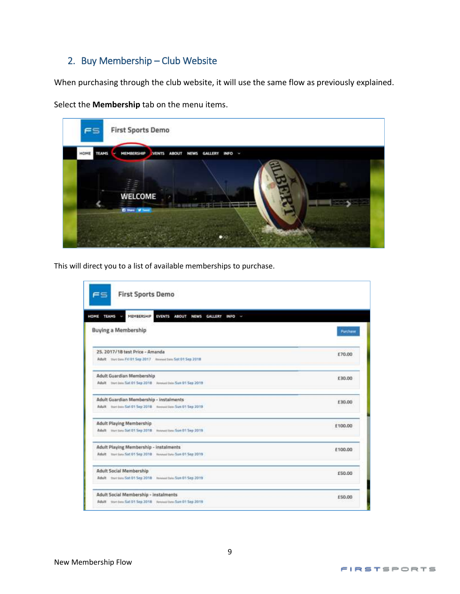### <span id="page-8-0"></span>2. Buy Membership – Club Website

When purchasing through the club website, it will use the same flow as previously explained.

Select the **Membership** tab on the menu items.



This will direct you to a list of available memberships to purchase.

| MEMBERSHIP<br>HOME TEAMS<br>EVENTS ABOUT NEWS GALLERY<br>INFO - |                              |
|-----------------------------------------------------------------|------------------------------|
| <b>Buying a Membership</b>                                      | <b><i><u>Puntuse</u></i></b> |
| 25. 2017/18 test Price - Amanda                                 | £70.00                       |
| Adult : the Dam FIS 01 Sep 2017 / Neemal Sen Sat 01 Sep 2018    |                              |
| Adult Guardian Membership                                       | £30.00                       |
| Adult Stort Jam Sat 01 Sep 2018 Newsat Jam Sun 01 Sep 2019      |                              |
| Adult Guardian Membership - instalments                         | £30.00                       |
| Adult transmission 5at 01 5ap 2018 Newsalton Sun 01 5ap 2019    |                              |
| <b>Adult Playing Membership</b>                                 | £100.00                      |
| Adult Van Linu Sat 01 Sep 2018 Howevillen-Sun 01 Sep 2019       |                              |
| <b>Adult Playing Membership - instalments</b>                   | £100.00                      |
| Adult trust land Set 01 Sep 2018 homes two Sun 01 Sep 2019      |                              |
| <b>Adult Social Membership</b>                                  | £50.00                       |
| Adult martiam Sat 01 Sep 2018 Innovations Sun 01 Sep 2019       |                              |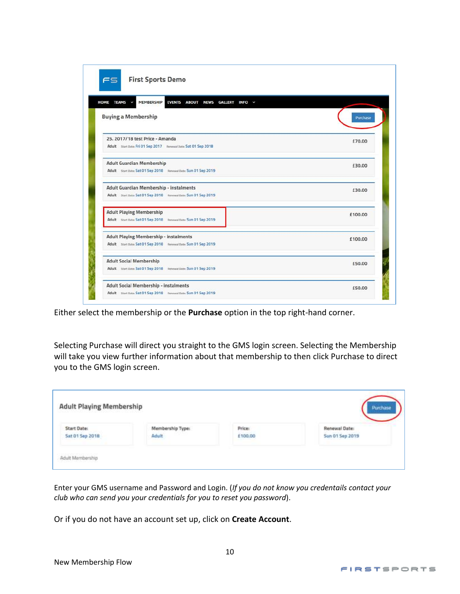| <b>Buying a Membership</b>                                                                                 | Purchase |
|------------------------------------------------------------------------------------------------------------|----------|
| 25. 2017/18 test Price - Amanda<br>Adult Start Date: Fri 01 Sep 2017 Renewal Date: Sat 01 Sep 2018         | £70.00   |
| <b>Adult Guardian Membership</b><br>Adult Start Date: Sat 01 Sep 2018 Renewal Date: Sun 01 Sep 2019        | £30.00   |
| Adult Guardian Membership - instalments<br>Adult Start Date: Sat 01 Sep 2018 Renewal Date: Sun 01 Sep 2019 | £30.00   |
| <b>Adult Playing Membership</b>                                                                            | £100.00  |
| <b>Adult Playing Membership - instalments</b>                                                              | £100.00  |
| Adult Start Date: Sat 01 Sep 2018 Renewal Date: Sun 01 Sep 2019                                            |          |

Either select the membership or the **Purchase** option in the top right-hand corner.

Selecting Purchase will direct you straight to the GMS login screen. Selecting the Membership will take you view further information about that membership to then click Purchase to direct you to the GMS login screen.

| <b>Adult Playing Membership</b> |                           |                                                        | Purchase                         |
|---------------------------------|---------------------------|--------------------------------------------------------|----------------------------------|
| Start Date:<br>Sat 01 Sep 2018  | Membership Type:<br>Adult | Price:<br>£100.00<br>and the control of the control of | Renewal Date:<br>Sun 01 Sep 2019 |
| Adult Membership                |                           |                                                        |                                  |

Enter your GMS username and Password and Login. (*If you do not know you credentails contact your club who can send you your credentials for you to reset you password*).

Or if you do not have an account set up, click on **Create Account**.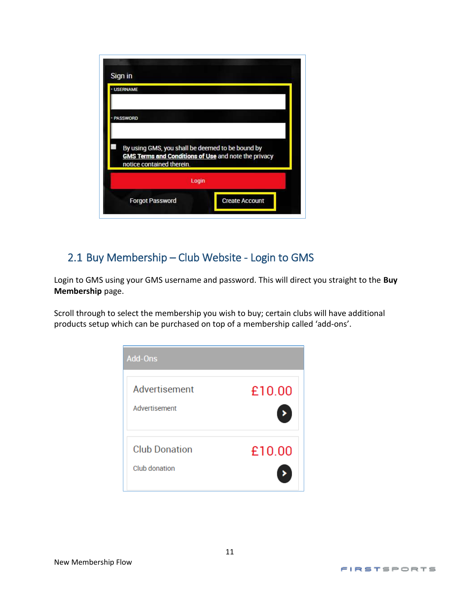| Sign in<br><b>· USERNAME</b>                                                                                                                 |  |
|----------------------------------------------------------------------------------------------------------------------------------------------|--|
| <b>PASSWORD</b>                                                                                                                              |  |
|                                                                                                                                              |  |
| By using GMS, you shall be deemed to be bound by<br><b>GMS Terms and Conditions of Use</b> and note the privacy<br>notice contained therein. |  |
| Login                                                                                                                                        |  |

## <span id="page-10-0"></span>2.1 Buy Membership – Club Website - Login to GMS

Login to GMS using your GMS username and password. This will direct you straight to the **Buy Membership** page.

Scroll through to select the membership you wish to buy; certain clubs will have additional products setup which can be purchased on top of a membership called 'add-ons'.

| <b>Add-Ons</b>                        |        |
|---------------------------------------|--------|
| Advertisement<br>Advertisement        | £10.00 |
| <b>Club Donation</b><br>Club donation | £10.00 |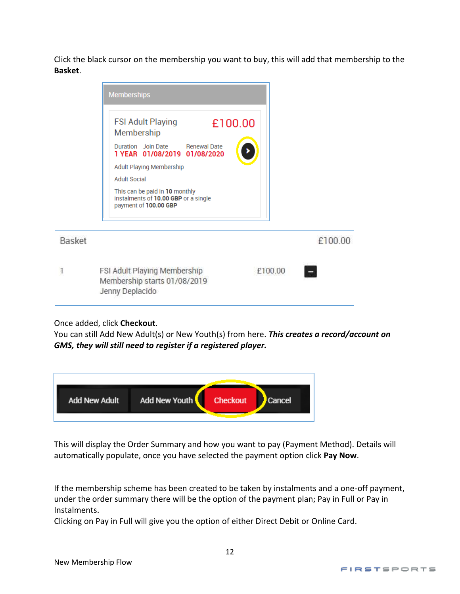Click the black cursor on the membership you want to buy, this will add that membership to the **Basket**.



| FSI Adult Playing Membership | £100.00 |
|------------------------------|---------|
| Membership starts 01/08/2019 |         |
|                              |         |
| Jenny Deplacido              |         |

Once added, click **Checkout**.

You can still Add New Adult(s) or New Youth(s) from here. *This creates a record/account on GMS, they will still need to register if a registered player.*



This will display the Order Summary and how you want to pay (Payment Method). Details will automatically populate, once you have selected the payment option click **Pay Now**.

If the membership scheme has been created to be taken by instalments and a one-off payment, under the order summary there will be the option of the payment plan; Pay in Full or Pay in Instalments.

Clicking on Pay in Full will give you the option of either Direct Debit or Online Card.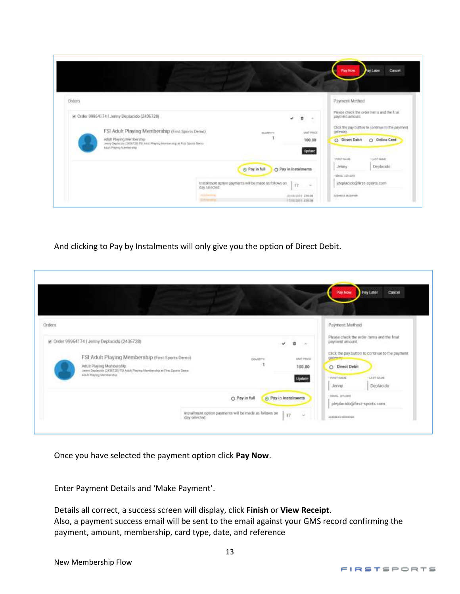|                                                                                                                                                                                                                                                        |                                                                                          |                                             |                                                               | <b>Ray Now</b>                                                                      | Cancel<br>Pay Later                                                                                                                |
|--------------------------------------------------------------------------------------------------------------------------------------------------------------------------------------------------------------------------------------------------------|------------------------------------------------------------------------------------------|---------------------------------------------|---------------------------------------------------------------|-------------------------------------------------------------------------------------|------------------------------------------------------------------------------------------------------------------------------------|
| Orders<br>ie: Order 99964174   Jenny Deplacido (2436728)<br>FSI Adult Playing Membership (First Sports Demo)<br>Adult Playing Membership<br>Jenny Deplaciate (2436728) FSI Judiat Reving Membership at Filter Sports Demo-<br>Adult Playing Membership | <b>GOVATITY</b>                                                                          | п                                           | $\rightarrow$<br><b><i>UNIT PRICE</i></b><br>100.00<br>Update | Payment Method<br>payment amount.<br>gateway.<br>O Direct Debit<br>wa<br>· PASTAINE | Please check the order liems and the final<br>Click the pay button to continue to the payment<br>O Online Card<br><b>LAST MAKE</b> |
|                                                                                                                                                                                                                                                        | @ Pay in full<br>tristallment option payments will be made as follows on<br>day selected | O Pay in Instalments<br>17                  | -32                                                           | Jenny<br>MAKE (ETIDI)<br>jdeplacido@first-sports.com                                | Deplacido                                                                                                                          |
|                                                                                                                                                                                                                                                        | <b>HALLMARK</b><br><b>SLAVANIA</b>                                                       | (7) (18/2010 210:00<br><b>Inneann</b> cross |                                                               | ADDRESS MODERN<br>the place of the company of the                                   |                                                                                                                                    |

And clicking to Pay by Instalments will only give you the option of Direct Debit.

|                                                                                                                                                                                            |                                                                         |                                   |                              | Pay Now                                                           | Pay Later<br>Cancel                                                              |
|--------------------------------------------------------------------------------------------------------------------------------------------------------------------------------------------|-------------------------------------------------------------------------|-----------------------------------|------------------------------|-------------------------------------------------------------------|----------------------------------------------------------------------------------|
| Orders<br>56 Order 999641741 Jenny Deplacido (2436728)                                                                                                                                     |                                                                         | v                                 | ۰<br>1.66                    | Payment Method<br>payment amount                                  | Please check the order items and the final                                       |
| FSI Adult Playing Membership (First Sports Demo)<br>Adult Playing Men/bership.<br>Jerry Deplacide (2431728) FSI Adult Playing Membership at Fitzt Sparre Demo-<br>Adult Playing Membership | <b>GUAVITTY</b>                                                         |                                   | UNF PROS<br>100.00<br>Update | gateway<br>O Direct Debit<br><b>FIRET NAME</b><br>Jervny.         | Click the pay button to continue to the payment<br><b>CAST NAME</b><br>Deplacido |
|                                                                                                                                                                                            | O Pay in full<br>installment option payments will be made as follows on | <b>O</b> Pay in Instalments<br>17 | u                            | EMAIL (27/200)<br>ideplacido@first-sports.com<br>ADDRESS MODIFIER |                                                                                  |

Once you have selected the payment option click **Pay Now**.

Enter Payment Details and 'Make Payment'.

Details all correct, a success screen will display, click **Finish** or **View Receipt**. Also, a payment success email will be sent to the email against your GMS record confirming the payment, amount, membership, card type, date, and reference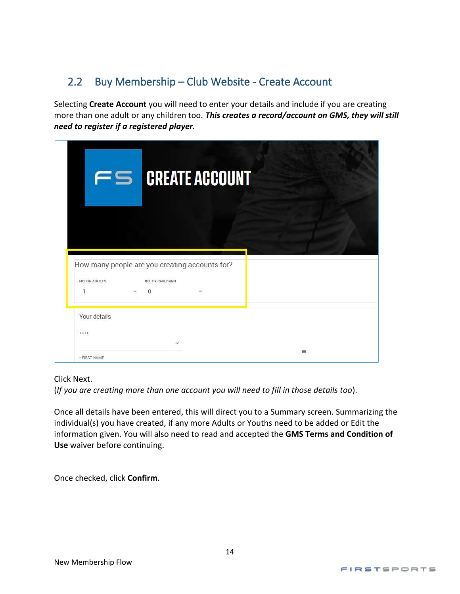## <span id="page-13-0"></span>2.2 Buy Membership – Club Website - Create Account

Selecting **Create Account** you will need to enter your details and include if you are creating more than one adult or any children too. *This creates a record/account on GMS, they will still need to register if a registered player.*

|               |                    | $\epsilon$ CREATE ACCOUNT                      |  |
|---------------|--------------------|------------------------------------------------|--|
| NO. OF ADULTS | NO. OF CHILDREN    | How many people are you creating accounts for? |  |
| ī             | $\Omega$<br>$\sim$ | $\checkmark$                                   |  |
| Your details  |                    |                                                |  |
| <b>TITLE</b>  |                    | $\mathbf{v}$                                   |  |

Click Next.

(*If you are creating more than one account you will need to fill in those details too*).

Once all details have been entered, this will direct you to a Summary screen. Summarizing the individual(s) you have created, if any more Adults or Youths need to be added or Edit the information given. You will also need to read and accepted the **GMS Terms and Condition of Use** waiver before continuing.

Once checked, click **Confirm**.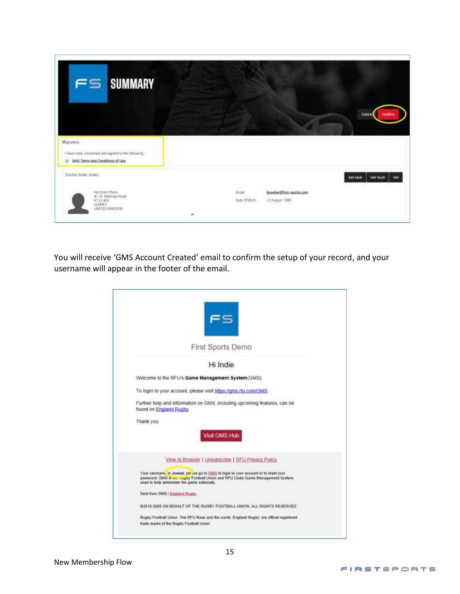| FS SUMMARY                                                                                                          |   |                         |                                             | Continn<br>Cancel                     |
|---------------------------------------------------------------------------------------------------------------------|---|-------------------------|---------------------------------------------|---------------------------------------|
| <b>Warvers</b><br>I have read, conserned and agreed to the following:<br>GY GMS Terms and Conditions of Use         |   |                         |                                             |                                       |
| Doctor Indie Jones<br>Hersham Place<br>41-63 Molesey Road<br>ICT12:4RZ<br>SURREY.<br><b>22115</b><br>UNITED KINGDOM | m | Ethalf<br>Date Of Birth | Ibrooker@first-sports.com<br>T5 August 1980 | Add Adult<br>Add Youth<br><b>DOM:</b> |

You will receive 'GMS Account Created' email to confirm the setup of your record, and your username will appear in the footer of the email.

|                               | First Sports Demo                                                                                                                                                                                                     |
|-------------------------------|-----------------------------------------------------------------------------------------------------------------------------------------------------------------------------------------------------------------------|
|                               | Hi Indie                                                                                                                                                                                                              |
|                               | Welcome to the RFU's Game Management System(GMS).                                                                                                                                                                     |
|                               | To login to your account, please visit https://gms.rfu.com/GMS.                                                                                                                                                       |
| found on England Rugby.       | Further help and information on GMS, including upcoming features, can be                                                                                                                                              |
| Thank you                     |                                                                                                                                                                                                                       |
|                               | Visit GMS Hub                                                                                                                                                                                                         |
|                               | View In Browser   Unsubscribe   RFU Privacy Policy                                                                                                                                                                    |
|                               | Your usemany is Jonest, please go to GMS to login to your account or to reset your<br>password. GMS is me roughy Football Union and RFU Clubs Game Management System.<br>used to help administer the game nationally. |
| Sent from GMS   England Rugby |                                                                                                                                                                                                                       |
|                               | @2018 GMS ON BEHALF OF THE RUGBY FOOTBALL UNION, ALL RIGHTS RESERVED                                                                                                                                                  |
|                               | Rugby Football Union. The RFU Rose and the words 'England Rugby' are official registered<br>trade marks of the Rugby Football Union.                                                                                  |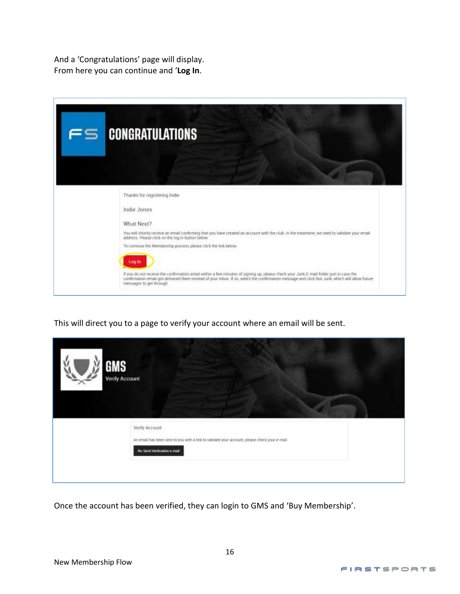And a 'Congratulations' page will display. From here you can continue and '**Log In**.

| FS | <b>CONGRATULATIONS</b>                                                                                                                                                                                                                                        |
|----|---------------------------------------------------------------------------------------------------------------------------------------------------------------------------------------------------------------------------------------------------------------|
|    | Thanks for registering Indie<br>Indie Jones                                                                                                                                                                                                                   |
|    | What Next?<br>You will shortly receive an email confirming that you have created an account with the club. In the meantime, we need to validate your email<br>address. Please click on the log in button below.                                               |
|    | To continue the Membership process please click the link below.<br>Log in                                                                                                                                                                                     |
|    | If you do not receive the confirmation email within a few minutes of signing up, please check your Jurik E-mail folder just in case the<br>confirmation email got delivered there instead of your inbox. If so, select the confir<br>messages to get through. |

This will direct you to a page to verify your account where an email will be sent.

| <b>GMS</b><br><b>Verify Account</b> |                                                                                                                                                      |
|-------------------------------------|------------------------------------------------------------------------------------------------------------------------------------------------------|
|                                     | Verify Account<br>An email has been sent to you with a link to validate your account, please check your e-mail<br><b>Re-Send Verification e-mail</b> |
|                                     |                                                                                                                                                      |

Once the account has been verified, they can login to GMS and 'Buy Membership'.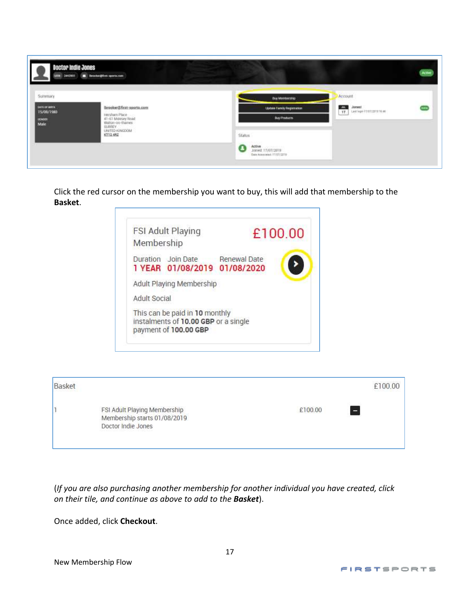| Doctor Indie Jones                                     | UEN 2442211 E Intelectioner sports.com                                                          |                                                                                                                                        | <b>Attive</b> |
|--------------------------------------------------------|-------------------------------------------------------------------------------------------------|----------------------------------------------------------------------------------------------------------------------------------------|---------------|
| Summary<br>DATE OF BRITH<br>15/09/1980<br>coon<br>Male | Ibrooker@firat-sports.com<br>Hersham Place<br>41-61 Molesey Road<br>Walton-on-thames:<br>SURREY | Account<br>Buy Membership<br>$\frac{1}{17}$<br>Jonest<br>Leichge 11/87/2010 16:46<br><b>Update Family Registration</b><br>Buy Products |               |
|                                                        | MODODINE GENERAL<br>KT12.482                                                                    | <b>Status</b><br><b>STEEL GALLAST</b><br>Active<br>Josept 17/07/2019<br>A<br>Date Associated T1/27/1279                                |               |

Click the red cursor on the membership you want to buy, this will add that membership to the **Basket**.



| Basket |                                                                                    |         | £100.00 |
|--------|------------------------------------------------------------------------------------|---------|---------|
|        | FSI Adult Playing Membership<br>Membership starts 01/08/2019<br>Doctor Indie Jones | £100.00 | ÷       |

(*If you are also purchasing another membership for another individual you have created, click on their tile, and continue as above to add to the Basket*).

Once added, click **Checkout**.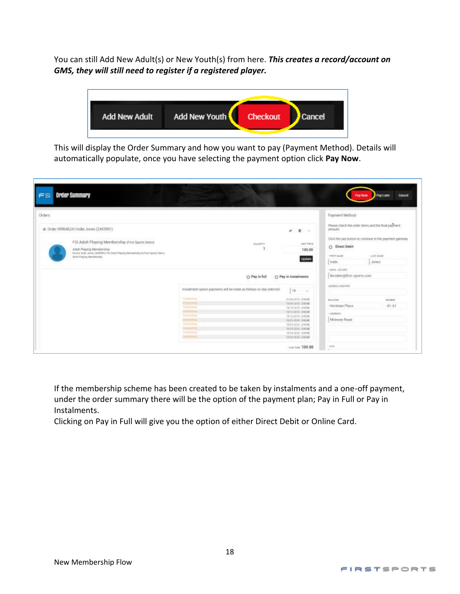You can still Add New Adult(s) or New Youth(s) from here. *This creates a record/account on GMS, they will still need to register if a registered player.*



This will display the Order Summary and how you want to pay (Payment Method). Details will automatically populate, once you have selecting the payment option click **Pay Now**.

| <b>Orders</b><br>--                                                                                                                                                                                                                                |                                                                                                                                                                                                                                                                                                                                                                                                           | Payment Method<br>경기 일 시간 사람이                                                                                                                                                                           |  |
|----------------------------------------------------------------------------------------------------------------------------------------------------------------------------------------------------------------------------------------------------|-----------------------------------------------------------------------------------------------------------------------------------------------------------------------------------------------------------------------------------------------------------------------------------------------------------------------------------------------------------------------------------------------------------|---------------------------------------------------------------------------------------------------------------------------------------------------------------------------------------------------------|--|
| at Order 999646241 Indie Jones (2443991)<br>FSI Adult Playing Membership (First liports Detro)<br>Adult Playing Mareller/ship:<br>The tie truler Jones (TARTWI) PILAAU/: Plearing Demokeratius at Polet Sports Terris<br>Ailutt Flexing Mandatolds | $\omega = 0 \qquad \cdots$<br><b>SIET PRIZE</b><br><b>BLAANTITE</b><br>100.00<br><b>Update</b>                                                                                                                                                                                                                                                                                                            | Please check the order tterm and the final pastners<br>strong.<br>Click the pay button to continue to the payment gateway.<br>O Direct Dehit<br>-44.0359<br>- LEET HARD<br>Waar Town<br>Inder.<br>Jones |  |
|                                                                                                                                                                                                                                                    | O Pay in full<br>C: Pay in Instalments<br>Installiment option poyments will be made as follows on day selected<br>10 -                                                                                                                                                                                                                                                                                    | DAX, OESNY<br>Tbrooker@ftrsz-sports.com<br><b>STEPHAN WORLD</b><br>PERTHER LEDITOR                                                                                                                      |  |
|                                                                                                                                                                                                                                                    | <b>Scientists</b><br>ED BRIDTIN, A19,00<br><b>STAR</b><br>tion-term groot<br><b><i><u>Differential</u></i></b><br>15/10/2010 #10000<br><b>Support</b><br>SETURNS FROM<br><b>Tuckmoonline</b><br>15/12/2019 4:10:00<br><b>Summaring</b><br>10/11/0303 #10.00<br><b>Substitute</b><br>13, 02, 2020, 210, 08<br><b>Submarine</b><br>TAXIEDOOD ENOM<br><b>S.A.Monte</b><br>19/04/2020 6:30:00<br>WESTON #1006 | Britt front<br>10,018470<br>Hersham Place<br>$41 - 61$<br>ARRESTS!<br>Maleney Road                                                                                                                      |  |

If the membership scheme has been created to be taken by instalments and a one-off payment, under the order summary there will be the option of the payment plan; Pay in Full or Pay in Instalments.

Clicking on Pay in Full will give you the option of either Direct Debit or Online Card.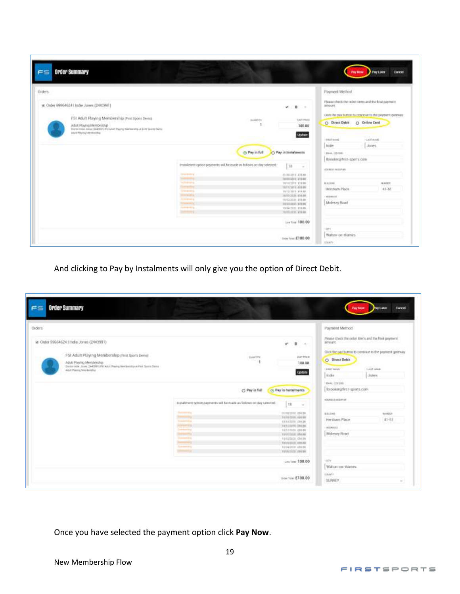| <b>Orders</b> |                                                                                                                            |                                                                      |                                   | Payment Method           |                                                          |
|---------------|----------------------------------------------------------------------------------------------------------------------------|----------------------------------------------------------------------|-----------------------------------|--------------------------|----------------------------------------------------------|
|               | at Order 99964624   Indie Jones (244399)                                                                                   |                                                                      | $\blacksquare$<br>v.<br>Cm.       | arroure.                 | Please check the coder rems and the finid payment        |
|               | F5I Adult Playing Membership (Finn Sports Dental                                                                           |                                                                      |                                   |                          | Olds the pay button to continue to the payment gateweal. |
|               |                                                                                                                            | BAMTITY                                                              | UNITERED<br>100.00                | O Direct Debit           | C Christe Cent                                           |
|               | Adult Playing Membership<br>Systemia Jana (JAOBIT) FU Atut Playing Namanity-in Fice Suith Denis<br>AA/A Maying Mentionship |                                                                      |                                   |                          |                                                          |
|               | Andrea a Baltimore de la co-                                                                                               |                                                                      | <b>Update</b>                     | I draight values)        | HEADT HAME                                               |
|               |                                                                                                                            |                                                                      |                                   | Indie                    | Jones.                                                   |
|               |                                                                                                                            | (b) Pay in full                                                      | Pay in Instalments                | HAAA, LISTING            |                                                          |
|               |                                                                                                                            |                                                                      |                                   | Ibmoker@flest-sports.com |                                                          |
|               |                                                                                                                            | Imstallment option payments will be made as follows on day selected. | 10 -                              | ADERESS MILLER BY        |                                                          |
|               |                                                                                                                            | <b>Street Way</b>                                                    | FURNISH & LOCAL                   |                          |                                                          |
|               |                                                                                                                            | <b>Suite</b><br><b>To The America</b>                                | terminate visual<br>WHITBHE CHERE | An ist (Arms)            | NAMER                                                    |
|               |                                                                                                                            | <b>Dynamics</b>                                                      | <b>INVITATION ATENS</b>           |                          |                                                          |
|               |                                                                                                                            | <b>SCORES</b>                                                        | ta tutalità avenne                | Heristiam Place          | $41 - 61$                                                |
|               |                                                                                                                            | <b>Household</b>                                                     | temption glass.                   | HODBEET!                 |                                                          |
|               |                                                                                                                            | <b>Systems</b><br><b>TOYOTA REAL</b>                                 | HASSIS 11000<br>tutomer stem-     | Molesey Road             |                                                          |
|               |                                                                                                                            | <b>Service State</b>                                                 | 10/34/3120 474140                 |                          |                                                          |
|               |                                                                                                                            |                                                                      | NO/2012033-174-001                |                          |                                                          |
|               |                                                                                                                            |                                                                      |                                   |                          |                                                          |
|               |                                                                                                                            |                                                                      |                                   |                          |                                                          |
|               |                                                                                                                            |                                                                      |                                   |                          |                                                          |
|               |                                                                                                                            |                                                                      | Les Ting: 100.00<br>7.92          | $-0.27%$                 |                                                          |
|               |                                                                                                                            |                                                                      |                                   | Walton-on-thames.        |                                                          |

And clicking to Pay by Instalments will only give you the option of Direct Debit.

| in Order 99964624   Indie Jones (2443991)<br>FSI Adult Playing Membership (First Sports Deno)<br>Adult Playing Membership.<br>Danter indie Josep (2442001) FSC Adult Paying Werdanstop at Fest Sports Dance<br>1834 라일이 사랑하는 아이들이 아들은 아들이 아니?<br>Albit Texing Menterstie | GAINETTY.<br><b>STORY OF</b>                                                                                                                                                                            | ۴<br>$\mathfrak{n}$<br><b>1541 PACK</b><br>100.00<br><b>Update</b>                                                                                                                                       | Please check the order torns and the find payment.<br>amount, the will be a little control of the<br>120 : 121 : 121 : 121 : 121 : 121 : 121 : 121 : 121 : 12<br>Click the pay button to continue to the payment gateway<br>O Direct Debit<br>150.947<br>FIRST MAKE<br><b>FLAST GAME</b> |
|--------------------------------------------------------------------------------------------------------------------------------------------------------------------------------------------------------------------------------------------------------------------------|---------------------------------------------------------------------------------------------------------------------------------------------------------------------------------------------------------|----------------------------------------------------------------------------------------------------------------------------------------------------------------------------------------------------------|------------------------------------------------------------------------------------------------------------------------------------------------------------------------------------------------------------------------------------------------------------------------------------------|
|                                                                                                                                                                                                                                                                          |                                                                                                                                                                                                         |                                                                                                                                                                                                          | inde<br><b>Jones</b>                                                                                                                                                                                                                                                                     |
|                                                                                                                                                                                                                                                                          | O Pay in full<br>FIELD/YHITE Option payments will be made as follows on day selected.                                                                                                                   | (2) Pay in Instalments<br>38<br>$\sim$                                                                                                                                                                   | thing, Inscaler<br>ibrooker@first-sports.com<br>NOONSLEAKENHA                                                                                                                                                                                                                            |
|                                                                                                                                                                                                                                                                          | <b>The America</b><br><b>Subject Eq.</b><br><b>Rockette</b><br><b>Determined</b><br><b>Systems</b> &<br><b><i><u>Demography</u></i></b><br><b>Summary</b><br><b>Continental</b><br><b>Communication</b> | PURELLETE 434000<br>TERRITORY FIRMS<br>FATERISTE-E18000<br>TATIONAL ENGINE<br>15/12/2011 476.00<br>ELONISIS: AMON<br>16/03/1838 436:00<br>18/01/1018 410.00<br><b>INSUES JIER</b><br><b>ISSUED: FIEW</b> | <b>ALIXADES</b><br>MALDAGE<br>Hersham Place<br>$41 - 61$<br>602.04011<br>Molesey Road                                                                                                                                                                                                    |
|                                                                                                                                                                                                                                                                          |                                                                                                                                                                                                         | Line Tree: 100.00                                                                                                                                                                                        | <b>STY</b><br>Walton-on-thienes                                                                                                                                                                                                                                                          |

Once you have selected the payment option click **Pay Now**.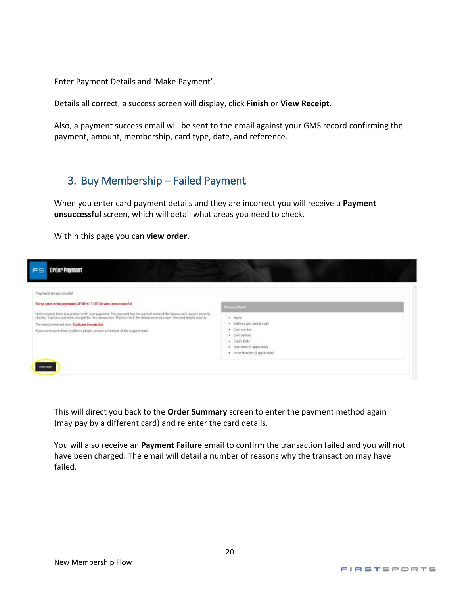Enter Payment Details and 'Make Payment'.

Details all correct, a success screen will display, click **Finish** or **View Receipt**.

Also, a payment success email will be sent to the email against your GMS record confirming the payment, amount, membership, card type, date, and reference.

## <span id="page-19-0"></span>3. Buy Membership – Failed Payment

When you enter card payment details and they are incorrect you will receive a **Payment unsuccessful** screen, which will detail what areas you need to check.

Within this page you can **view order.**

| Payment unsuccessful                                                                                                                                                                                                                                                                  |                                                                                                                               |  |
|---------------------------------------------------------------------------------------------------------------------------------------------------------------------------------------------------------------------------------------------------------------------------------------|-------------------------------------------------------------------------------------------------------------------------------|--|
| Sony, your order payment #FSD-C-119739 with unturcessful                                                                                                                                                                                                                              | <b>Pharm China</b>                                                                                                            |  |
| Unfortunately there is a problem with your payment. The payment has not passed some of the banks/card lessers security<br>checks. You have not been charged for this transaction. Please check the details entered, manch the car<br>The massivi returned way. Deplicate transaction: | $+$ Rame<br>· Address and postal code                                                                                         |  |
| if you continue to have problems please contact a member of the support team.                                                                                                                                                                                                         | · Card number<br>· CVV righter<br>· Expay Date:<br>· Black date (if applicable).<br>$\leftarrow$ Issue humber (if applicable) |  |

This will direct you back to the **Order Summary** screen to enter the payment method again (may pay by a different card) and re enter the card details.

You will also receive an **Payment Failure** email to confirm the transaction failed and you will not have been charged. The email will detail a number of reasons why the transaction may have failed.